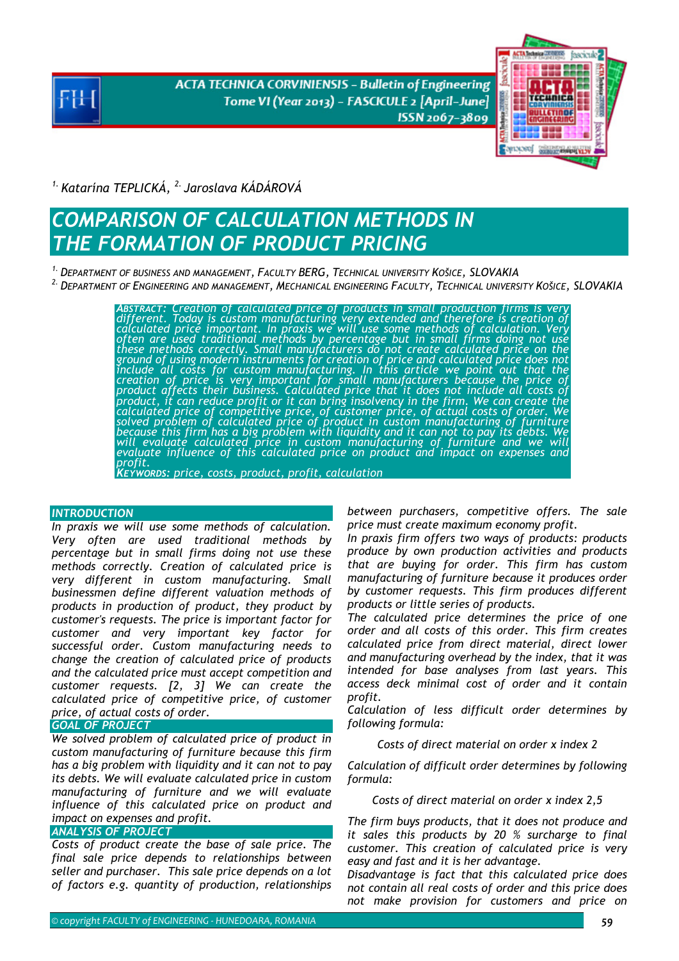**ACTA TECHNICA CORVINIENSIS - Bulletin of Engineering** Tome VI (Year 2013) - FASCICULE 2 [April-June] ISSN 2067-3809



*1. Katarína TEPLICKÁ, 2. Jaroslava KÁDÁROVÁ* 

# *COMPARISON OF CALCULATION METHODS IN THE FORMATION OF PRODUCT PRICING*

*1. DEPARTMENT OF BUSINESS AND MANAGEMENT, FACULTY BERG, TECHNICAL UNIVERSITY KOŠICE, SLOVAKIA* 

*2. DEPARTMENT OF ENGINEERING AND MANAGEMENT, MECHANICAL ENGINEERING FACULTY, TECHNICAL UNIVERSITY KOŠICE, SLOVAKIA*

ABSTRACT: Creation of calculated price of products in small production firms is very<br>different. Today is custom manufacturing very extended and therefore is creation of<br>calculated price important. In praxis we will use som *ground of using modern instruments for creation of price and calculated price does not include all costs for custom manufacturing. In this article we point out that the creation of price is very important for small manufacturers because the price of*<br>product affects their business. Calculated price that it does not include all costs of *product, it can reduce profit or it can bring insolvency in the firm. We can create the*<br>calculated price of competitive price, of customer price, of actual costs of order. We *solved problem of calculated price of product in custom manufacturing of furniture*  because this firm has a big problem with liquidity and it can not to pay its debts. We<br>will evaluate calculated price in custom manufacturing of furniture and we will<br>evaluate influence of this calculated price on product *KEYWORDS: price, costs, product, profit, calculation* 

#### *INTRODUCTION*

*In praxis we will use some methods of calculation. Very often are used traditional methods by percentage but in small firms doing not use these methods correctly. Creation of calculated price is very different in custom manufacturing. Small businessmen define different valuation methods of products in production of product, they product by customer's requests. The price is important factor for customer and very important key factor for successful order. Custom manufacturing needs to change the creation of calculated price of products and the calculated price must accept competition and customer requests. [2, 3] We can create the calculated price of competitive price, of customer price, of actual costs of order.*

#### *GOAL OF PROJECT*

*We solved problem of calculated price of product in custom manufacturing of furniture because this firm has a big problem with liquidity and it can not to pay its debts. We will evaluate calculated price in custom manufacturing of furniture and we will evaluate influence of this calculated price on product and impact on expenses and profit.*

#### *ANALYSIS OF PROJECT*

*Costs of product create the base of sale price. The final sale price depends to relationships between seller and purchaser. This sale price depends on a lot of factors e.g. quantity of production, relationships* 

*between purchasers, competitive offers. The sale price must create maximum economy profit.* 

*In praxis firm offers two ways of products: products produce by own production activities and products that are buying for order. This firm has custom manufacturing of furniture because it produces order by customer requests. This firm produces different products or little series of products.* 

*The calculated price determines the price of one order and all costs of this order. This firm creates calculated price from direct material, direct lower and manufacturing overhead by the index, that it was intended for base analyses from last years. This access deck minimal cost of order and it contain profit.* 

*Calculation of less difficult order determines by following formula:* 

*Costs of direct material on order x index 2* 

*Calculation of difficult order determines by following formula:* 

*Costs of direct material on order x index 2,5* 

*The firm buys products, that it does not produce and it sales this products by 20 % surcharge to final customer. This creation of calculated price is very easy and fast and it is her advantage.* 

*Disadvantage is fact that this calculated price does not contain all real costs of order and this price does not make provision for customers and price on*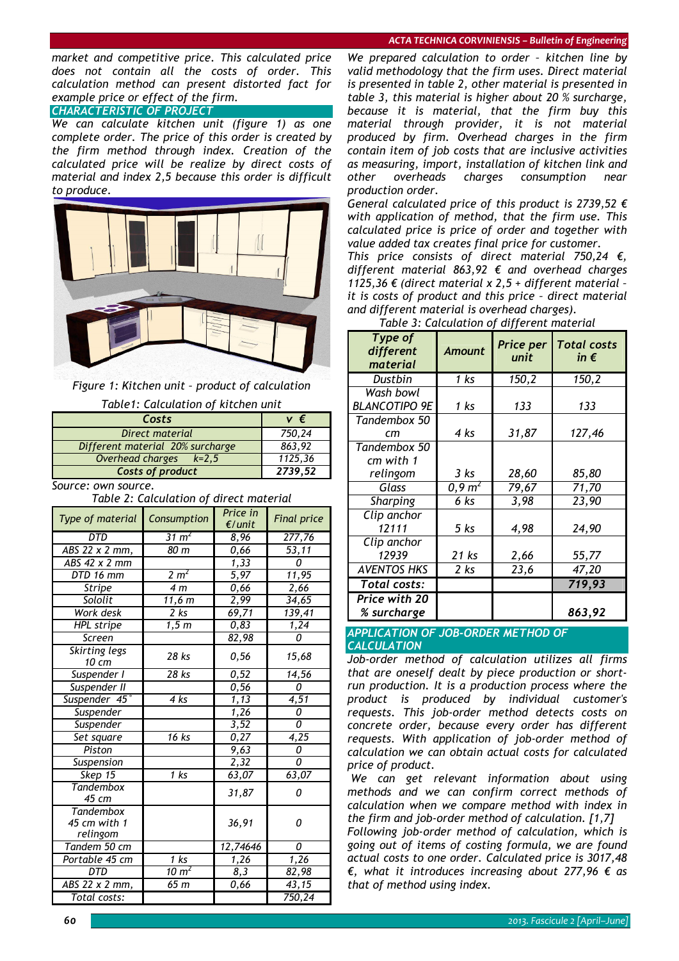#### *ACTA TECHNICA CORVINIENSIS – Bulletin of Engineering*

*market and competitive price. This calculated price does not contain all the costs of order. This calculation method can present distorted fact for example price or effect of the firm. CHARACTERISTIC OF PROJECT*

*We can calculate kitchen unit (figure 1) as one complete order. The price of this order is created by the firm method through index. Creation of the calculated price will be realize by direct costs of material and index 2,5 because this order is difficult to produce.* 



*Figure 1: Kitchen unit – product of calculation Table1: Calculation of kitchen unit* 

| 1800                             |         |
|----------------------------------|---------|
| Costs                            | v €     |
| Direct material                  | 750,24  |
| Different material 20% surcharge | 863,92  |
| Overhead charges $k=2,5$         | 1125,36 |
| Costs of product                 | 2739,52 |
| Source: own source.              |         |

*Table 2: Calculation of direct material* 

| Type of material                             | Consumption         | Price in<br>$E$ /unit | <b>Final price</b> |
|----------------------------------------------|---------------------|-----------------------|--------------------|
| DTD                                          | $31 \text{ m}^2$    | 8,96                  | 277,76             |
| ABS 22 x 2 mm,                               | 80 m                | 0,66                  | 53,11              |
| $\overline{ABS}$ 42 x 2 mm                   |                     | $\overline{1}$ , 33   | 0                  |
| DTD 16 mm                                    | 2 m <sup>2</sup>    | 5,97                  | $\overline{11,}95$ |
| Stripe                                       | 4 <sub>m</sub>      | 0,66                  | 2,66               |
| Sololit                                      | $\overline{11,6}$ m | 2,99                  | 34,65              |
| Work desk                                    | 2 <sub>ks</sub>     | 69,71                 | 139,41             |
| <b>HPL</b> stripe                            | 1, 5m               | 0,83                  | 1,24               |
| Screen                                       |                     | 82,98                 | $\Omega$           |
| Skirting legs<br>10 cm                       | 28 ks               | 0,56                  | 15,68              |
| Suspender I                                  | 28 ks               | 0,52                  | $\sqrt{14,56}$     |
| Suspender II                                 |                     | 0,56                  | 0                  |
| Suspender 45°                                | 4 ks                | $\overline{1,13}$     | 4,51               |
| Suspender                                    |                     | 1,26                  | 0                  |
| Suspender                                    |                     | 3,52                  | 0                  |
| Set square                                   | 16 ks               | 0,27                  | 4,25               |
| Piston                                       |                     | 9,63                  | 0                  |
| Suspension                                   |                     | 2,32                  | $\Omega$           |
| Skep $15$                                    | 1 ks                | 63,07                 | 63,07              |
| <b>Tandembox</b><br>45 cm                    |                     | 31,87                 | 0                  |
| <b>Tandembox</b><br>45 cm with 1<br>relingom |                     | 36,91                 | 0                  |
| Tandem 50 cm                                 |                     | 12,74646              | 0                  |
| Portable 45 cm                               | $1$ ks              | 1,26                  | 1,26               |
| <b>DTD</b>                                   | 10 $m2$             | 8,3                   | 82,98              |
| ABS 22 x 2 mm,                               | 65 m                | 0,66                  | 43,15              |
| Total costs:                                 |                     |                       | 750,24             |

*We prepared calculation to order – kitchen line by valid methodology that the firm uses. Direct material is presented in table 2, other material is presented in table 3, this material is higher about 20 % surcharge, because it is material, that the firm buy this material through provider, it is not material produced by firm. Overhead charges in the firm contain item of job costs that are inclusive activities as measuring, import, installation of kitchen link and other overheads charges consumption near production order.* 

*General calculated price of this product is 2739,52 € with application of method, that the firm use. This calculated price is price of order and together with value added tax creates final price for customer.* 

*This price consists of direct material 750,24 €, different material 863,92 € and overhead charges 1125,36 € (direct material x 2,5 + different material – it is costs of product and this price – direct material and different material is overhead charges).*

| Type of<br>different<br>material | <b>Amount</b>       | Price per<br>unit | <b>Total costs</b><br>in $\epsilon$ |
|----------------------------------|---------------------|-------------------|-------------------------------------|
| Dustbin                          | 1 ks                | 150,2             | 150,2                               |
| Wash bowl                        |                     |                   |                                     |
| <b>BLANCOTIPO 9E</b>             | 1 ks                | 133               | 133                                 |
| Tandembox 50                     |                     |                   |                                     |
| cm                               | 4 ks                | 31,87             | 127,46                              |
| Tandembox 50                     |                     |                   |                                     |
| cm with 1                        |                     |                   |                                     |
| relingom                         | 3 ks                | 28,60             | 85,80                               |
| Glass                            | $0,9 \; \text{m}^2$ | 79,67             | 71,70                               |
| Sharping                         | 6 ks                | 3,98              | 23,90                               |
| Clip anchor                      |                     |                   |                                     |
| 12111                            | $5$ $ks$            | 4,98              | 24,90                               |
| Clip anchor                      |                     |                   |                                     |
| 12939                            | 21 ks               | 2,66              | 55,77                               |
| AVENTOS HKS                      | $2$ ks              | 23,6              | 47,20                               |
| Total costs:                     |                     |                   | 719,93                              |
| <b>Price with 20</b>             |                     |                   |                                     |
| % surcharge                      |                     |                   | 863,92                              |

*Table 3: Calculation of different material* 

### *APPLICATION OF JOB-ORDER METHOD OF*

*CALCULATION*

*Job-order method of calculation utilizes all firms that are oneself dealt by piece production or shortrun production. It is a production process where the product is produced by individual customer's requests. This job-order method detects costs on concrete order, because every order has different requests. With application of job-order method of calculation we can obtain actual costs for calculated price of product.* 

 *We can get relevant information about using methods and we can confirm correct methods of calculation when we compare method with index in the firm and job-order method of calculation. [1,7]* 

*Following job-order method of calculation, which is going out of items of costing formula, we are found actual costs to one order. Calculated price is 3017,48 €, what it introduces increasing about 277,96 € as that of method using index.*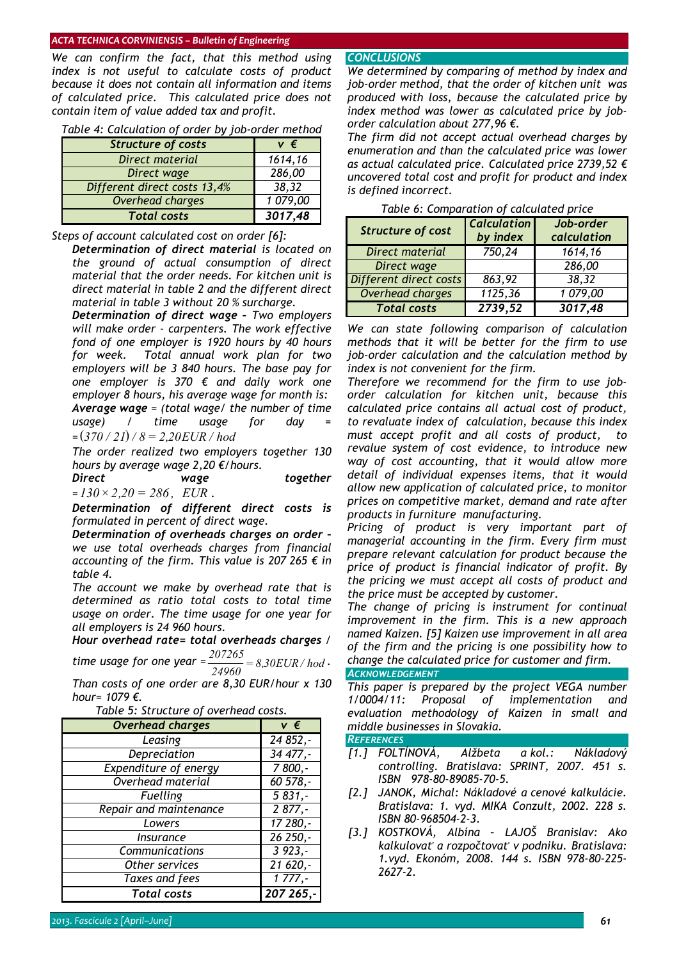#### *ACTA TECHNICA CORVINIENSIS – Bulletin of Engineering*

*We can confirm the fact, that this method using index is not useful to calculate costs of product because it does not contain all information and items of calculated price. This calculated price does not contain item of value added tax and profit.* 

| <b>Structure of costs</b>    | v€       |
|------------------------------|----------|
| Direct material              | 1614,16  |
| Direct wage                  | 286,00   |
| Different direct costs 13,4% | 38,32    |
| Overhead charges             | 1 079,00 |
| <b>Total costs</b>           | 3017,48  |

*Table 4: Calculation of order by job-order method* 

#### *Steps of account calculated cost on order [6]:*

 *Determination of direct material is located on the ground of actual consumption of direct material that the order needs. For kitchen unit is direct material in table 2 and the different direct material in table 3 without 20 % surcharge.* 

 *Determination of direct wage – Two employers will make order - carpenters. The work effective fond of one employer is 1920 hours by 40 hours for week. Total annual work plan for two employers will be 3 840 hours. The base pay for one employer is 370 € and daily work one employer 8 hours, his average wage for month is: Average wage = (total wage/ the number of time usage*) / *time usage* for *day* 

*=* ( ) *370 / 21 / 8* = *2,20EUR / hod*

 *The order realized two employers together 130 hours by average wage 2,20 €/hours.* 

 *Direct wage together =130* × *2,20* = *286 , EUR .* 

 *Determination of different direct costs is formulated in percent of direct wage.* 

 *Determination of overheads charges on order – we use total overheads charges from financial accounting of the firm. This value is 207 265 € in table 4.* 

 *The account we make by overhead rate that is determined as ratio total costs to total time usage on order. The time usage for one year for all employers is 24 960 hours.* 

## *Hour overhead rate= total overheads charges /*

*time usage for one year*  $= \frac{207265}{24960} = 8,30EUR/hod$ .

*Than costs of one order are 8,30 EUR/hour x 130 hour= 1079 €.* 

| rable 5. Structure of overliedd costs. |           |
|----------------------------------------|-----------|
| <b>Overhead charges</b>                | v €       |
| Leasing                                | 24 852,-  |
| Depreciation                           | 34 477,-  |
| <b>Expenditure of energy</b>           | $7800,-$  |
| Overhead material                      | 60 578,-  |
| <b>Fuelling</b>                        | $5831,-$  |
| Repair and maintenance                 | $2877,-$  |
| Lowers                                 | 17 280,-  |
| Insurance                              | 26 250,-  |
| Communications                         | $3923,-$  |
| Other services                         | 21 620,-  |
| Taxes and fees                         | $1777,-$  |
| <b>Total</b> costs                     | 207 265,- |

#### *CONCLUSIONS*

*We determined by comparing of method by index and job-order method, that the order of kitchen unit was produced with loss, because the calculated price by index method was lower as calculated price by joborder calculation about 277,96 €.* 

*The firm did not accept actual overhead charges by enumeration and than the calculated price was lower as actual calculated price. Calculated price 2739,52 € uncovered total cost and profit for product and index is defined incorrect.* 

| rabic of comparation of calculated price |                                |                          |
|------------------------------------------|--------------------------------|--------------------------|
| <b>Structure of cost</b>                 | <b>Calculation</b><br>by index | Job-order<br>calculation |
| Direct material                          | 750,24                         | 1614,16                  |
| Direct wage                              |                                | 286,00                   |
| Different direct costs                   | 863,92                         | 38,32                    |
| Overhead charges                         | 1125,36                        | 1079,00                  |
| <b>Total costs</b>                       | 2739,52                        | 3017,48                  |

*Table 6: Comparation of calculated price* 

*We can state following comparison of calculation methods that it will be better for the firm to use job-order calculation and the calculation method by index is not convenient for the firm.* 

*Therefore we recommend for the firm to use joborder calculation for kitchen unit, because this calculated price contains all actual cost of product, to revaluate index of calculation, because this index must accept profit and all costs of product, to revalue system of cost evidence, to introduce new way of cost accounting, that it would allow more detail of individual expenses items, that it would allow new application of calculated price, to monitor prices on competitive market, demand and rate after products in furniture manufacturing.* 

*Pricing of product is very important part of managerial accounting in the firm. Every firm must prepare relevant calculation for product because the price of product is financial indicator of profit. By the pricing we must accept all costs of product and the price must be accepted by customer.* 

*The change of pricing is instrument for continual improvement in the firm. This is a new approach named Kaizen. [5] Kaizen use improvement in all area of the firm and the pricing is one possibility how to change the calculated price for customer and firm.* 

## *ACKNOWLEDGEMENT*

*This paper is prepared by the project VEGA number 1/0004/11: Proposal of implementation and evaluation methodology of Kaizen in small and middle businesses in Slovakia.* 

#### *REFERENCES*

- *[1.] FOLTÍNOVÁ, Alžbeta a kol.: Nákladový controlling. Bratislava: SPRINT, 2007. 451 s. ISBN 978-80-89085-70-5.*
- *[2.] JANOK, Michal: Nákladové a cenové kalkulácie. Bratislava: 1. vyd. MIKA Conzult, 2002. 228 s. ISBN 80-968504-2-3.*
- *[3.] KOSTKOVÁ, Albína LAJOŠ Branislav: Ako kalkulovať a rozpočtovať v podniku. Bratislava: 1.vyd. Ekonóm, 2008. 144 s. ISBN 978-80-225- 2627-2.*